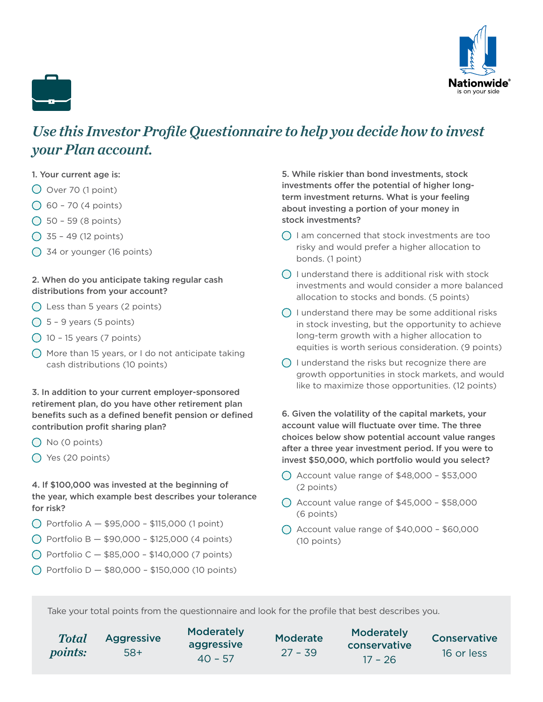



# *Use this Investor Profile Questionnaire to help you decide how to invest your Plan account.*

### 1. Your current age is:

- $\bigcirc$  Over 70 (1 point)
- $\bigcirc$  60 70 (4 points)
- $\bigcirc$  50 59 (8 points)
- $\bigcap$  35 49 (12 points)
- 34 or younger (16 points)

# 2. When do you anticipate taking regular cash distributions from your account?

- $\bigcap$  Less than 5 years (2 points)
- $\bigcirc$  5 9 years (5 points)
- $\bigcirc$  10 15 years (7 points)
- $\bigcap$  More than 15 years, or I do not anticipate taking cash distributions (10 points)

3. In addition to your current employer-sponsored retirement plan, do you have other retirement plan benefits such as a defined benefit pension or defined contribution profit sharing plan?

- $\bigcap$  No (0 points)
- $\bigcirc$  Yes (20 points)

4. If \$100,000 was invested at the beginning of the year, which example best describes your tolerance for risk?

- $\bigcap$  Portfolio A  $-$  \$95,000 \$115,000 (1 point)
- $\bigcap$  Portfolio B \$90,000 \$125,000 (4 points)
- $\bigcap$  Portfolio C \$85,000 \$140,000 (7 points)
- $\bigcap$  Portfolio D \$80,000 \$150,000 (10 points)

5. While riskier than bond investments, stock investments offer the potential of higher longterm investment returns. What is your feeling about investing a portion of your money in stock investments?

- $\bigcap$  I am concerned that stock investments are too risky and would prefer a higher allocation to bonds. (1 point)
- $\bigcap$  I understand there is additional risk with stock investments and would consider a more balanced allocation to stocks and bonds. (5 points)
- $\bigcap$  I understand there may be some additional risks in stock investing, but the opportunity to achieve long-term growth with a higher allocation to equities is worth serious consideration. (9 points)
- $\bigcap$  I understand the risks but recognize there are growth opportunities in stock markets, and would like to maximize those opportunities. (12 points)

6. Given the volatility of the capital markets, your account value will fluctuate over time. The three choices below show potential account value ranges after a three year investment period. If you were to invest \$50,000, which portfolio would you select?

- $\bigcirc$  Account value range of \$48,000 \$53,000 (2 points)
- $\bigcirc$  Account value range of \$45,000 \$58,000 (6 points)
- $\bigcap$  Account value range of \$40,000 \$60,000 (10 points)

Take your total points from the questionnaire and look for the profile that best describes you.

| <b>Total</b>   | <b>Aggressive</b> | Moderately<br>aggressive | <b>Moderate</b> | Moderately<br>conservative<br>$17 - 26$ | Conservative |
|----------------|-------------------|--------------------------|-----------------|-----------------------------------------|--------------|
| <i>points:</i> | $58+$             | $40 - 57$                | $27 - 39$       |                                         | 16 or less   |